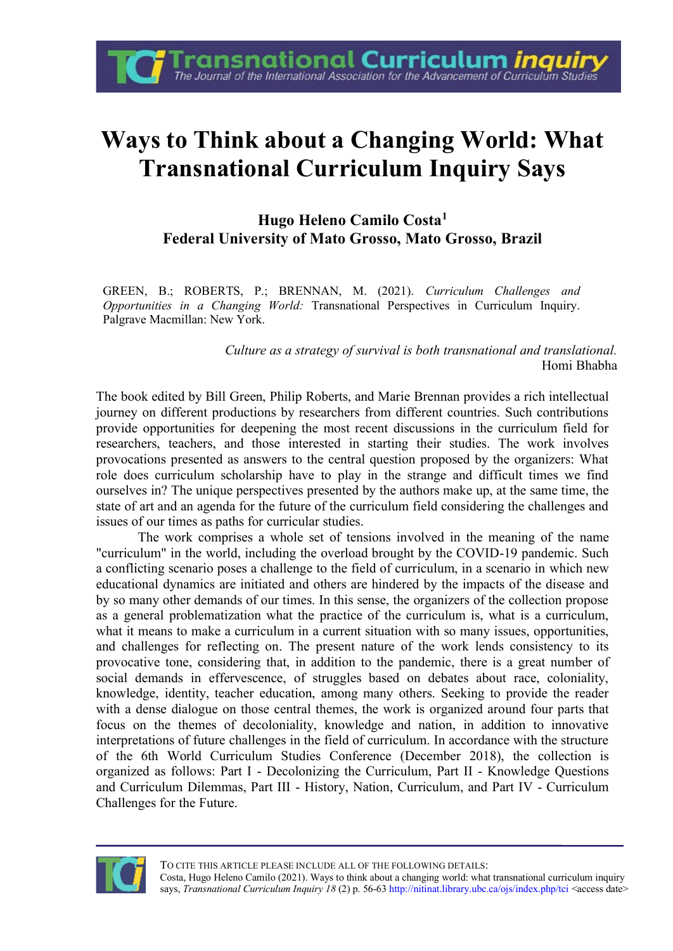## **Ways to Think about a Changing World: What Transnational Curriculum Inquiry Says**

**Fransnational Curriculum** *inquir***y**<br>The Journal of the International Association for the Advancement of Curriculum Studies

**Hugo Heleno Camilo Costa<sup>1</sup> Federal University of Mato Grosso, Mato Grosso, Brazil**

GREEN, B.; ROBERTS, P.; BRENNAN, M. (2021). *Curriculum Challenges and Opportunities in a Changing World:* Transnational Perspectives in Curriculum Inquiry. Palgrave Macmillan: New York.

> *Culture as a strategy of survival is both transnational and translational.*  Homi Bhabha

The book edited by Bill Green, Philip Roberts, and Marie Brennan provides a rich intellectual journey on different productions by researchers from different countries. Such contributions provide opportunities for deepening the most recent discussions in the curriculum field for researchers, teachers, and those interested in starting their studies. The work involves provocations presented as answers to the central question proposed by the organizers: What role does curriculum scholarship have to play in the strange and difficult times we find ourselves in? The unique perspectives presented by the authors make up, at the same time, the state of art and an agenda for the future of the curriculum field considering the challenges and issues of our times as paths for curricular studies.

The work comprises a whole set of tensions involved in the meaning of the name "curriculum" in the world, including the overload brought by the COVID-19 pandemic. Such a conflicting scenario poses a challenge to the field of curriculum, in a scenario in which new educational dynamics are initiated and others are hindered by the impacts of the disease and by so many other demands of our times. In this sense, the organizers of the collection propose as a general problematization what the practice of the curriculum is, what is a curriculum, what it means to make a curriculum in a current situation with so many issues, opportunities, and challenges for reflecting on. The present nature of the work lends consistency to its provocative tone, considering that, in addition to the pandemic, there is a great number of social demands in effervescence, of struggles based on debates about race, coloniality, knowledge, identity, teacher education, among many others. Seeking to provide the reader with a dense dialogue on those central themes, the work is organized around four parts that focus on the themes of decoloniality, knowledge and nation, in addition to innovative interpretations of future challenges in the field of curriculum. In accordance with the structure of the 6th World Curriculum Studies Conference (December 2018), the collection is organized as follows: Part I - Decolonizing the Curriculum, Part II - Knowledge Questions and Curriculum Dilemmas, Part III - History, Nation, Curriculum, and Part IV - Curriculum Challenges for the Future.

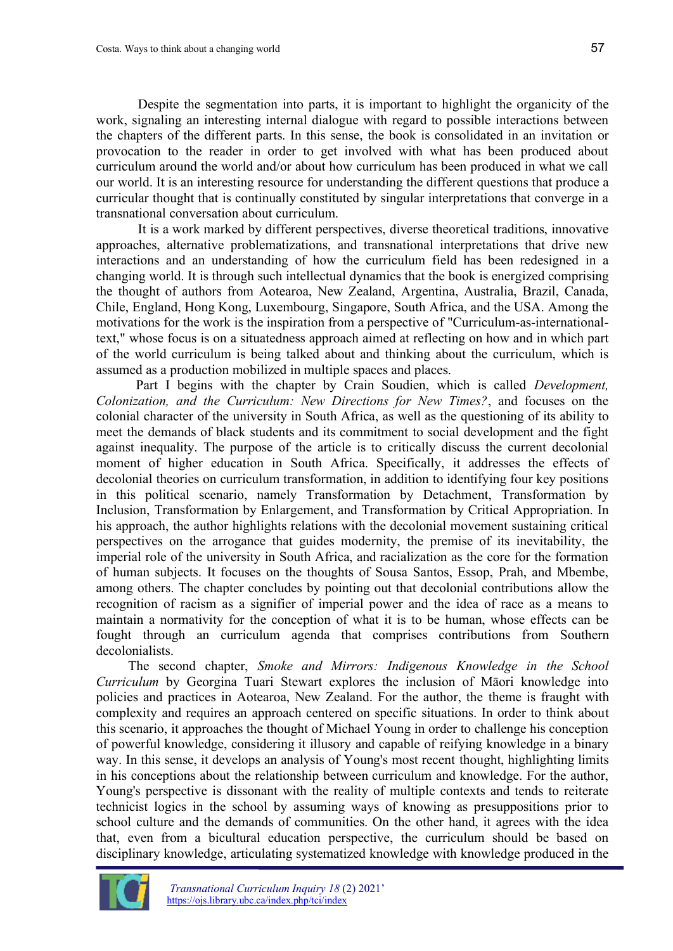Despite the segmentation into parts, it is important to highlight the organicity of the work, signaling an interesting internal dialogue with regard to possible interactions between the chapters of the different parts. In this sense, the book is consolidated in an invitation or provocation to the reader in order to get involved with what has been produced about curriculum around the world and/or about how curriculum has been produced in what we call our world. It is an interesting resource for understanding the different questions that produce a curricular thought that is continually constituted by singular interpretations that converge in a transnational conversation about curriculum.

It is a work marked by different perspectives, diverse theoretical traditions, innovative approaches, alternative problematizations, and transnational interpretations that drive new interactions and an understanding of how the curriculum field has been redesigned in a changing world. It is through such intellectual dynamics that the book is energized comprising the thought of authors from Aotearoa, New Zealand, Argentina, Australia, Brazil, Canada, Chile, England, Hong Kong, Luxembourg, Singapore, South Africa, and the USA. Among the motivations for the work is the inspiration from a perspective of "Curriculum-as-internationaltext," whose focus is on a situatedness approach aimed at reflecting on how and in which part of the world curriculum is being talked about and thinking about the curriculum, which is assumed as a production mobilized in multiple spaces and places.

Part I begins with the chapter by Crain Soudien, which is called *Development, Colonization, and the Curriculum: New Directions for New Times?*, and focuses on the colonial character of the university in South Africa, as well as the questioning of its ability to meet the demands of black students and its commitment to social development and the fight against inequality. The purpose of the article is to critically discuss the current decolonial moment of higher education in South Africa. Specifically, it addresses the effects of decolonial theories on curriculum transformation, in addition to identifying four key positions in this political scenario, namely Transformation by Detachment, Transformation by Inclusion, Transformation by Enlargement, and Transformation by Critical Appropriation. In his approach, the author highlights relations with the decolonial movement sustaining critical perspectives on the arrogance that guides modernity, the premise of its inevitability, the imperial role of the university in South Africa, and racialization as the core for the formation of human subjects. It focuses on the thoughts of Sousa Santos, Essop, Prah, and Mbembe, among others. The chapter concludes by pointing out that decolonial contributions allow the recognition of racism as a signifier of imperial power and the idea of race as a means to maintain a normativity for the conception of what it is to be human, whose effects can be fought through an curriculum agenda that comprises contributions from Southern decolonialists.

The second chapter, *Smoke and Mirrors: Indigenous Knowledge in the School Curriculum* by Georgina Tuari Stewart explores the inclusion of Māori knowledge into policies and practices in Aotearoa, New Zealand. For the author, the theme is fraught with complexity and requires an approach centered on specific situations. In order to think about this scenario, it approaches the thought of Michael Young in order to challenge his conception of powerful knowledge, considering it illusory and capable of reifying knowledge in a binary way. In this sense, it develops an analysis of Young's most recent thought, highlighting limits in his conceptions about the relationship between curriculum and knowledge. For the author, Young's perspective is dissonant with the reality of multiple contexts and tends to reiterate technicist logics in the school by assuming ways of knowing as presuppositions prior to school culture and the demands of communities. On the other hand, it agrees with the idea that, even from a bicultural education perspective, the curriculum should be based on disciplinary knowledge, articulating systematized knowledge with knowledge produced in the

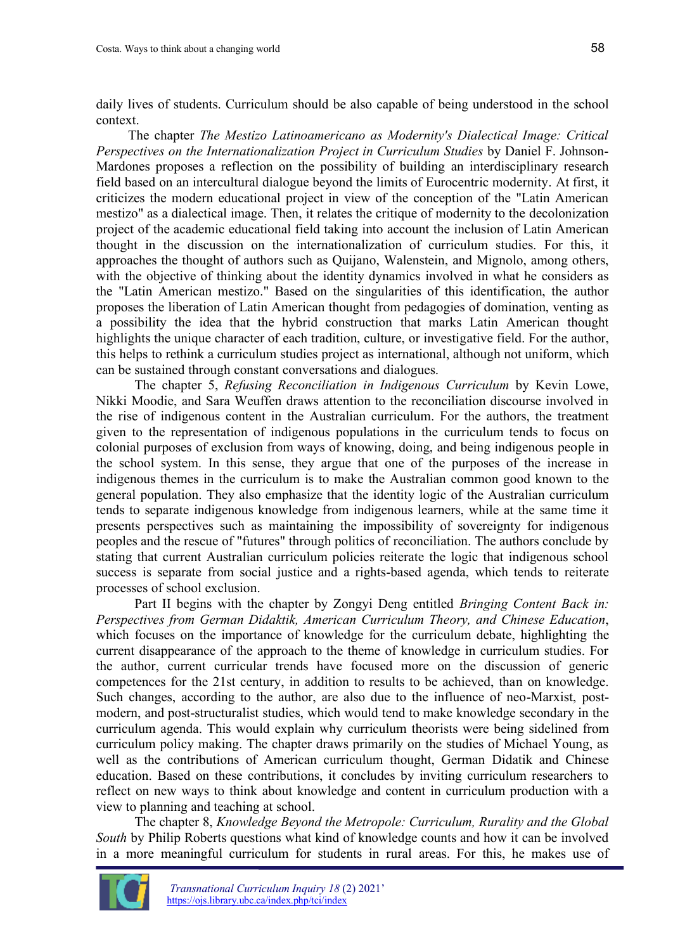daily lives of students. Curriculum should be also capable of being understood in the school context.

The chapter *The Mestizo Latinoamericano as Modernity's Dialectical Image: Critical Perspectives on the Internationalization Project in Curriculum Studies* by Daniel F. Johnson-Mardones proposes a reflection on the possibility of building an interdisciplinary research field based on an intercultural dialogue beyond the limits of Eurocentric modernity. At first, it criticizes the modern educational project in view of the conception of the "Latin American mestizo" as a dialectical image. Then, it relates the critique of modernity to the decolonization project of the academic educational field taking into account the inclusion of Latin American thought in the discussion on the internationalization of curriculum studies. For this, it approaches the thought of authors such as Quijano, Walenstein, and Mignolo, among others, with the objective of thinking about the identity dynamics involved in what he considers as the "Latin American mestizo." Based on the singularities of this identification, the author proposes the liberation of Latin American thought from pedagogies of domination, venting as a possibility the idea that the hybrid construction that marks Latin American thought highlights the unique character of each tradition, culture, or investigative field. For the author, this helps to rethink a curriculum studies project as international, although not uniform, which can be sustained through constant conversations and dialogues.

The chapter 5, *Refusing Reconciliation in Indigenous Curriculum* by Kevin Lowe, Nikki Moodie, and Sara Weuffen draws attention to the reconciliation discourse involved in the rise of indigenous content in the Australian curriculum. For the authors, the treatment given to the representation of indigenous populations in the curriculum tends to focus on colonial purposes of exclusion from ways of knowing, doing, and being indigenous people in the school system. In this sense, they argue that one of the purposes of the increase in indigenous themes in the curriculum is to make the Australian common good known to the general population. They also emphasize that the identity logic of the Australian curriculum tends to separate indigenous knowledge from indigenous learners, while at the same time it presents perspectives such as maintaining the impossibility of sovereignty for indigenous peoples and the rescue of "futures" through politics of reconciliation. The authors conclude by stating that current Australian curriculum policies reiterate the logic that indigenous school success is separate from social justice and a rights-based agenda, which tends to reiterate processes of school exclusion.

Part II begins with the chapter by Zongyi Deng entitled *Bringing Content Back in: Perspectives from German Didaktik, American Curriculum Theory, and Chinese Education*, which focuses on the importance of knowledge for the curriculum debate, highlighting the current disappearance of the approach to the theme of knowledge in curriculum studies. For the author, current curricular trends have focused more on the discussion of generic competences for the 21st century, in addition to results to be achieved, than on knowledge. Such changes, according to the author, are also due to the influence of neo-Marxist, postmodern, and post-structuralist studies, which would tend to make knowledge secondary in the curriculum agenda. This would explain why curriculum theorists were being sidelined from curriculum policy making. The chapter draws primarily on the studies of Michael Young, as well as the contributions of American curriculum thought, German Didatik and Chinese education. Based on these contributions, it concludes by inviting curriculum researchers to reflect on new ways to think about knowledge and content in curriculum production with a view to planning and teaching at school.

The chapter 8, *Knowledge Beyond the Metropole: Curriculum, Rurality and the Global South* by Philip Roberts questions what kind of knowledge counts and how it can be involved in a more meaningful curriculum for students in rural areas. For this, he makes use of

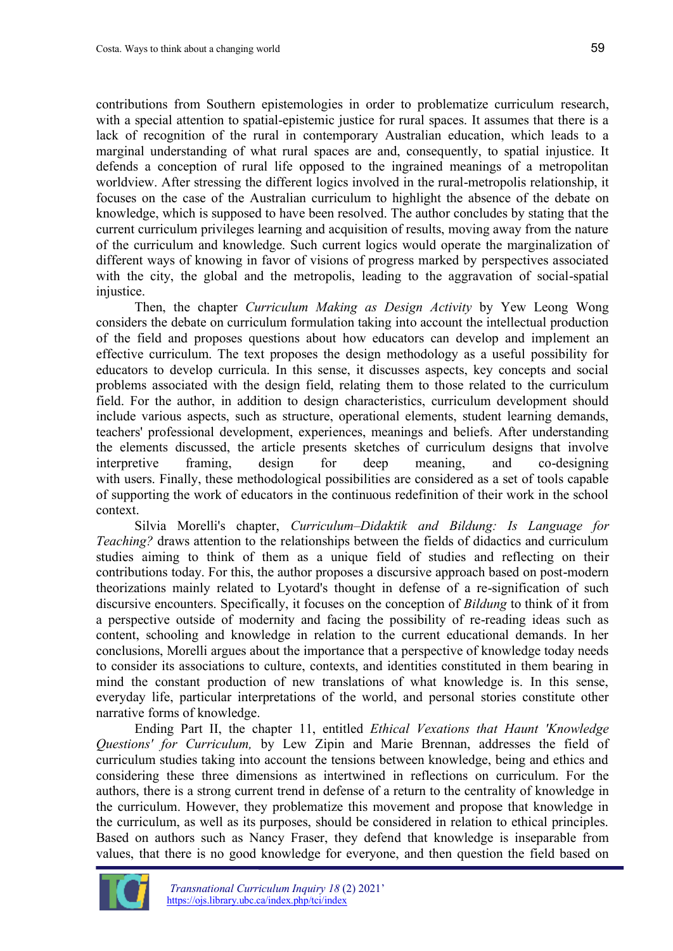contributions from Southern epistemologies in order to problematize curriculum research, with a special attention to spatial-epistemic justice for rural spaces. It assumes that there is a lack of recognition of the rural in contemporary Australian education, which leads to a marginal understanding of what rural spaces are and, consequently, to spatial injustice. It defends a conception of rural life opposed to the ingrained meanings of a metropolitan worldview. After stressing the different logics involved in the rural-metropolis relationship, it focuses on the case of the Australian curriculum to highlight the absence of the debate on knowledge, which is supposed to have been resolved. The author concludes by stating that the current curriculum privileges learning and acquisition of results, moving away from the nature of the curriculum and knowledge. Such current logics would operate the marginalization of different ways of knowing in favor of visions of progress marked by perspectives associated with the city, the global and the metropolis, leading to the aggravation of social-spatial injustice.

Then, the chapter *Curriculum Making as Design Activity* by Yew Leong Wong considers the debate on curriculum formulation taking into account the intellectual production of the field and proposes questions about how educators can develop and implement an effective curriculum. The text proposes the design methodology as a useful possibility for educators to develop curricula. In this sense, it discusses aspects, key concepts and social problems associated with the design field, relating them to those related to the curriculum field. For the author, in addition to design characteristics, curriculum development should include various aspects, such as structure, operational elements, student learning demands, teachers' professional development, experiences, meanings and beliefs. After understanding the elements discussed, the article presents sketches of curriculum designs that involve interpretive framing, design for deep meaning, and co-designing with users. Finally, these methodological possibilities are considered as a set of tools capable of supporting the work of educators in the continuous redefinition of their work in the school context.

Silvia Morelli's chapter, *Curriculum–Didaktik and Bildung: Is Language for Teaching?* draws attention to the relationships between the fields of didactics and curriculum studies aiming to think of them as a unique field of studies and reflecting on their contributions today. For this, the author proposes a discursive approach based on post-modern theorizations mainly related to Lyotard's thought in defense of a re-signification of such discursive encounters. Specifically, it focuses on the conception of *Bildung* to think of it from a perspective outside of modernity and facing the possibility of re-reading ideas such as content, schooling and knowledge in relation to the current educational demands. In her conclusions, Morelli argues about the importance that a perspective of knowledge today needs to consider its associations to culture, contexts, and identities constituted in them bearing in mind the constant production of new translations of what knowledge is. In this sense, everyday life, particular interpretations of the world, and personal stories constitute other narrative forms of knowledge.

Ending Part II, the chapter 11, entitled *Ethical Vexations that Haunt 'Knowledge Questions' for Curriculum,* by Lew Zipin and Marie Brennan, addresses the field of curriculum studies taking into account the tensions between knowledge, being and ethics and considering these three dimensions as intertwined in reflections on curriculum. For the authors, there is a strong current trend in defense of a return to the centrality of knowledge in the curriculum. However, they problematize this movement and propose that knowledge in the curriculum, as well as its purposes, should be considered in relation to ethical principles. Based on authors such as Nancy Fraser, they defend that knowledge is inseparable from values, that there is no good knowledge for everyone, and then question the field based on

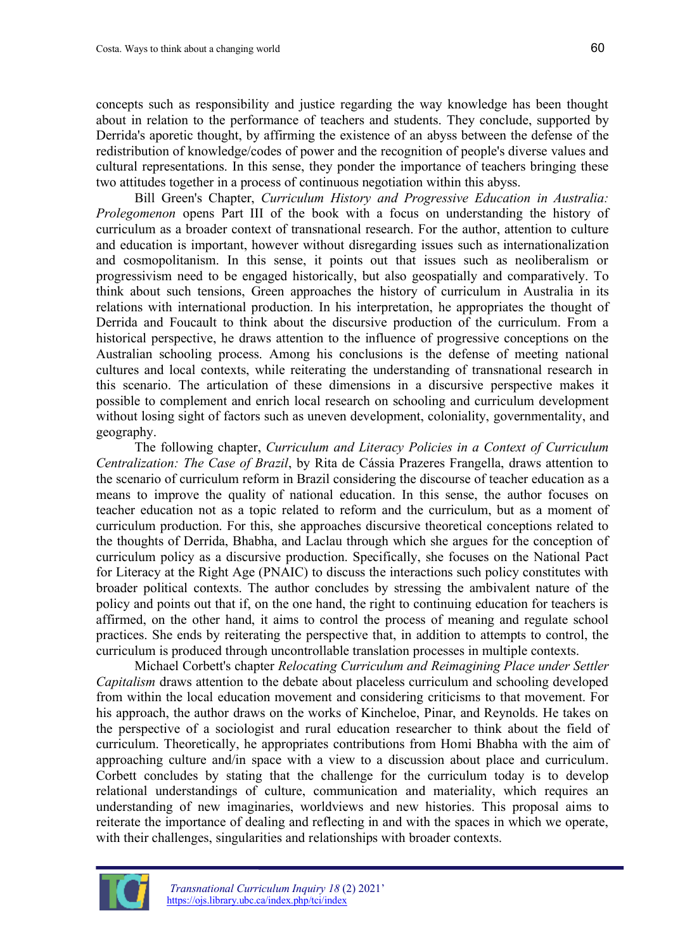concepts such as responsibility and justice regarding the way knowledge has been thought about in relation to the performance of teachers and students. They conclude, supported by Derrida's aporetic thought, by affirming the existence of an abyss between the defense of the redistribution of knowledge/codes of power and the recognition of people's diverse values and cultural representations. In this sense, they ponder the importance of teachers bringing these two attitudes together in a process of continuous negotiation within this abyss.

Bill Green's Chapter, *Curriculum History and Progressive Education in Australia: Prolegomenon* opens Part III of the book with a focus on understanding the history of curriculum as a broader context of transnational research. For the author, attention to culture and education is important, however without disregarding issues such as internationalization and cosmopolitanism. In this sense, it points out that issues such as neoliberalism or progressivism need to be engaged historically, but also geospatially and comparatively. To think about such tensions, Green approaches the history of curriculum in Australia in its relations with international production. In his interpretation, he appropriates the thought of Derrida and Foucault to think about the discursive production of the curriculum. From a historical perspective, he draws attention to the influence of progressive conceptions on the Australian schooling process. Among his conclusions is the defense of meeting national cultures and local contexts, while reiterating the understanding of transnational research in this scenario. The articulation of these dimensions in a discursive perspective makes it possible to complement and enrich local research on schooling and curriculum development without losing sight of factors such as uneven development, coloniality, governmentality, and geography.

The following chapter, *Curriculum and Literacy Policies in a Context of Curriculum Centralization: The Case of Brazil*, by Rita de Cássia Prazeres Frangella, draws attention to the scenario of curriculum reform in Brazil considering the discourse of teacher education as a means to improve the quality of national education. In this sense, the author focuses on teacher education not as a topic related to reform and the curriculum, but as a moment of curriculum production. For this, she approaches discursive theoretical conceptions related to the thoughts of Derrida, Bhabha, and Laclau through which she argues for the conception of curriculum policy as a discursive production. Specifically, she focuses on the National Pact for Literacy at the Right Age (PNAIC) to discuss the interactions such policy constitutes with broader political contexts. The author concludes by stressing the ambivalent nature of the policy and points out that if, on the one hand, the right to continuing education for teachers is affirmed, on the other hand, it aims to control the process of meaning and regulate school practices. She ends by reiterating the perspective that, in addition to attempts to control, the curriculum is produced through uncontrollable translation processes in multiple contexts.

Michael Corbett's chapter *Relocating Curriculum and Reimagining Place under Settler Capitalism* draws attention to the debate about placeless curriculum and schooling developed from within the local education movement and considering criticisms to that movement. For his approach, the author draws on the works of Kincheloe, Pinar, and Reynolds. He takes on the perspective of a sociologist and rural education researcher to think about the field of curriculum. Theoretically, he appropriates contributions from Homi Bhabha with the aim of approaching culture and/in space with a view to a discussion about place and curriculum. Corbett concludes by stating that the challenge for the curriculum today is to develop relational understandings of culture, communication and materiality, which requires an understanding of new imaginaries, worldviews and new histories. This proposal aims to reiterate the importance of dealing and reflecting in and with the spaces in which we operate, with their challenges, singularities and relationships with broader contexts.

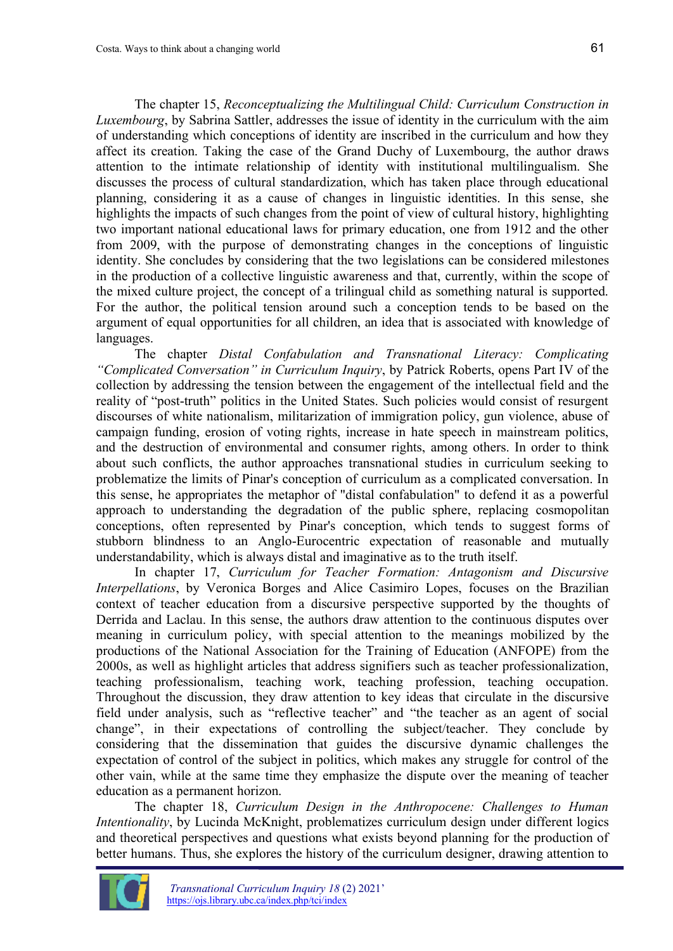The chapter 15, *Reconceptualizing the Multilingual Child: Curriculum Construction in Luxembourg*, by Sabrina Sattler, addresses the issue of identity in the curriculum with the aim of understanding which conceptions of identity are inscribed in the curriculum and how they affect its creation. Taking the case of the Grand Duchy of Luxembourg, the author draws attention to the intimate relationship of identity with institutional multilingualism. She discusses the process of cultural standardization, which has taken place through educational planning, considering it as a cause of changes in linguistic identities. In this sense, she highlights the impacts of such changes from the point of view of cultural history, highlighting two important national educational laws for primary education, one from 1912 and the other from 2009, with the purpose of demonstrating changes in the conceptions of linguistic identity. She concludes by considering that the two legislations can be considered milestones in the production of a collective linguistic awareness and that, currently, within the scope of the mixed culture project, the concept of a trilingual child as something natural is supported. For the author, the political tension around such a conception tends to be based on the argument of equal opportunities for all children, an idea that is associated with knowledge of languages.

The chapter *Distal Confabulation and Transnational Literacy: Complicating "Complicated Conversation" in Curriculum Inquiry*, by Patrick Roberts, opens Part IV of the collection by addressing the tension between the engagement of the intellectual field and the reality of "post-truth" politics in the United States. Such policies would consist of resurgent discourses of white nationalism, militarization of immigration policy, gun violence, abuse of campaign funding, erosion of voting rights, increase in hate speech in mainstream politics, and the destruction of environmental and consumer rights, among others. In order to think about such conflicts, the author approaches transnational studies in curriculum seeking to problematize the limits of Pinar's conception of curriculum as a complicated conversation. In this sense, he appropriates the metaphor of "distal confabulation" to defend it as a powerful approach to understanding the degradation of the public sphere, replacing cosmopolitan conceptions, often represented by Pinar's conception, which tends to suggest forms of stubborn blindness to an Anglo-Eurocentric expectation of reasonable and mutually understandability, which is always distal and imaginative as to the truth itself.

In chapter 17, *Curriculum for Teacher Formation: Antagonism and Discursive Interpellations*, by Veronica Borges and Alice Casimiro Lopes, focuses on the Brazilian context of teacher education from a discursive perspective supported by the thoughts of Derrida and Laclau. In this sense, the authors draw attention to the continuous disputes over meaning in curriculum policy, with special attention to the meanings mobilized by the productions of the National Association for the Training of Education (ANFOPE) from the 2000s, as well as highlight articles that address signifiers such as teacher professionalization, teaching professionalism, teaching work, teaching profession, teaching occupation. Throughout the discussion, they draw attention to key ideas that circulate in the discursive field under analysis, such as "reflective teacher" and "the teacher as an agent of social change", in their expectations of controlling the subject/teacher. They conclude by considering that the dissemination that guides the discursive dynamic challenges the expectation of control of the subject in politics, which makes any struggle for control of the other vain, while at the same time they emphasize the dispute over the meaning of teacher education as a permanent horizon.

The chapter 18, *Curriculum Design in the Anthropocene: Challenges to Human Intentionality*, by Lucinda McKnight, problematizes curriculum design under different logics and theoretical perspectives and questions what exists beyond planning for the production of better humans. Thus, she explores the history of the curriculum designer, drawing attention to

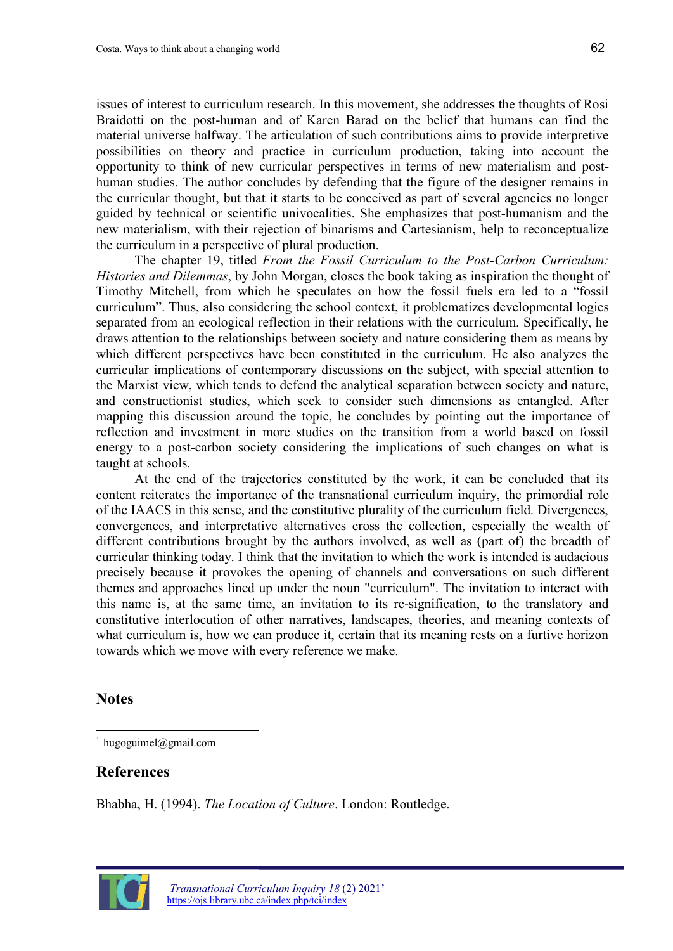issues of interest to curriculum research. In this movement, she addresses the thoughts of Rosi Braidotti on the post-human and of Karen Barad on the belief that humans can find the material universe halfway. The articulation of such contributions aims to provide interpretive possibilities on theory and practice in curriculum production, taking into account the opportunity to think of new curricular perspectives in terms of new materialism and posthuman studies. The author concludes by defending that the figure of the designer remains in the curricular thought, but that it starts to be conceived as part of several agencies no longer guided by technical or scientific univocalities. She emphasizes that post-humanism and the new materialism, with their rejection of binarisms and Cartesianism, help to reconceptualize the curriculum in a perspective of plural production.

The chapter 19, titled *From the Fossil Curriculum to the Post-Carbon Curriculum: Histories and Dilemmas*, by John Morgan, closes the book taking as inspiration the thought of Timothy Mitchell, from which he speculates on how the fossil fuels era led to a "fossil curriculum". Thus, also considering the school context, it problematizes developmental logics separated from an ecological reflection in their relations with the curriculum. Specifically, he draws attention to the relationships between society and nature considering them as means by which different perspectives have been constituted in the curriculum. He also analyzes the curricular implications of contemporary discussions on the subject, with special attention to the Marxist view, which tends to defend the analytical separation between society and nature, and constructionist studies, which seek to consider such dimensions as entangled. After mapping this discussion around the topic, he concludes by pointing out the importance of reflection and investment in more studies on the transition from a world based on fossil energy to a post-carbon society considering the implications of such changes on what is taught at schools.

At the end of the trajectories constituted by the work, it can be concluded that its content reiterates the importance of the transnational curriculum inquiry, the primordial role of the IAACS in this sense, and the constitutive plurality of the curriculum field. Divergences, convergences, and interpretative alternatives cross the collection, especially the wealth of different contributions brought by the authors involved, as well as (part of) the breadth of curricular thinking today. I think that the invitation to which the work is intended is audacious precisely because it provokes the opening of channels and conversations on such different themes and approaches lined up under the noun "curriculum". The invitation to interact with this name is, at the same time, an invitation to its re-signification, to the translatory and constitutive interlocution of other narratives, landscapes, theories, and meaning contexts of what curriculum is, how we can produce it, certain that its meaning rests on a furtive horizon towards which we move with every reference we make.

## **Notes**

## **References**

Bhabha, H. (1994). *The Location of Culture*. London: Routledge.



<sup>&</sup>lt;sup>1</sup> [hugoguimel@gmail.com](mailto:hugoguimel@yahoo.com.br)